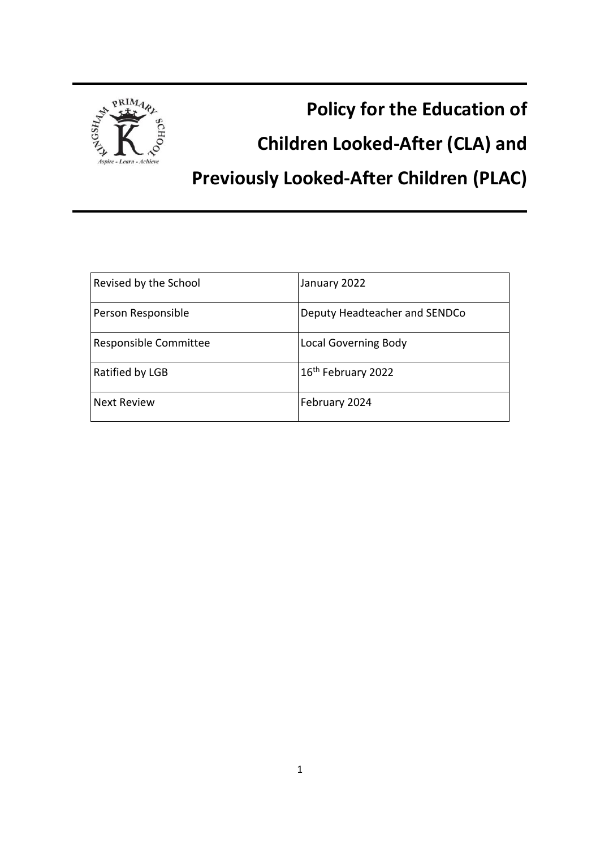

**Policy for the Education of** 

**Children Looked-After (CLA) and** 

**Previously Looked-After Children (PLAC)**

| Revised by the School | January 2022                   |
|-----------------------|--------------------------------|
| Person Responsible    | Deputy Headteacher and SENDCo  |
| Responsible Committee | <b>Local Governing Body</b>    |
| Ratified by LGB       | 16 <sup>th</sup> February 2022 |
| <b>Next Review</b>    | February 2024                  |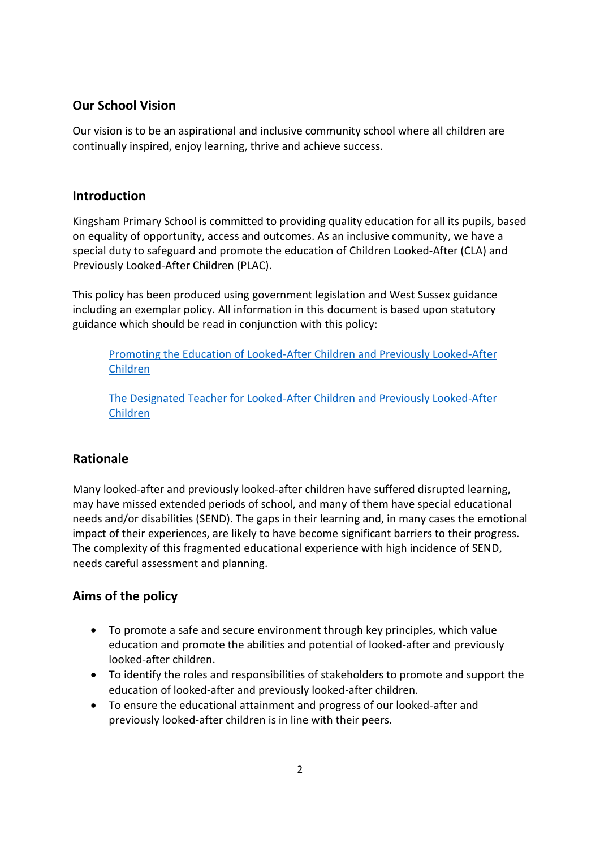## **Our School Vision**

Our vision is to be an aspirational and inclusive community school where all children are continually inspired, enjoy learning, thrive and achieve success.

### **Introduction**

Kingsham Primary School is committed to providing quality education for all its pupils, based on equality of opportunity, access and outcomes. As an inclusive community, we have a special duty to safeguard and promote the education of Children Looked-After (CLA) and Previously Looked-After Children (PLAC).

This policy has been produced using government legislation and West Sussex guidance including an exemplar policy. All information in this document is based upon statutory guidance which should be read in conjunction with this policy:

[Promoting the Education of Looked-After Children and Previously Looked-After](https://www.gov.uk/government/publications/promoting-the-education-of-looked-after-children)  [Children](https://www.gov.uk/government/publications/promoting-the-education-of-looked-after-children)

[The Designated Teacher for Looked-After Children and Previously Looked-After](https://www.gov.uk/government/publications/designated-teacher-for-looked-after-children)  [Children](https://www.gov.uk/government/publications/designated-teacher-for-looked-after-children)

# **Rationale**

Many looked-after and previously looked-after children have suffered disrupted learning, may have missed extended periods of school, and many of them have special educational needs and/or disabilities (SEND). The gaps in their learning and, in many cases the emotional impact of their experiences, are likely to have become significant barriers to their progress. The complexity of this fragmented educational experience with high incidence of SEND, needs careful assessment and planning.

# **Aims of the policy**

- To promote a safe and secure environment through key principles, which value education and promote the abilities and potential of looked-after and previously looked-after children.
- To identify the roles and responsibilities of stakeholders to promote and support the education of looked-after and previously looked-after children.
- To ensure the educational attainment and progress of our looked-after and previously looked-after children is in line with their peers.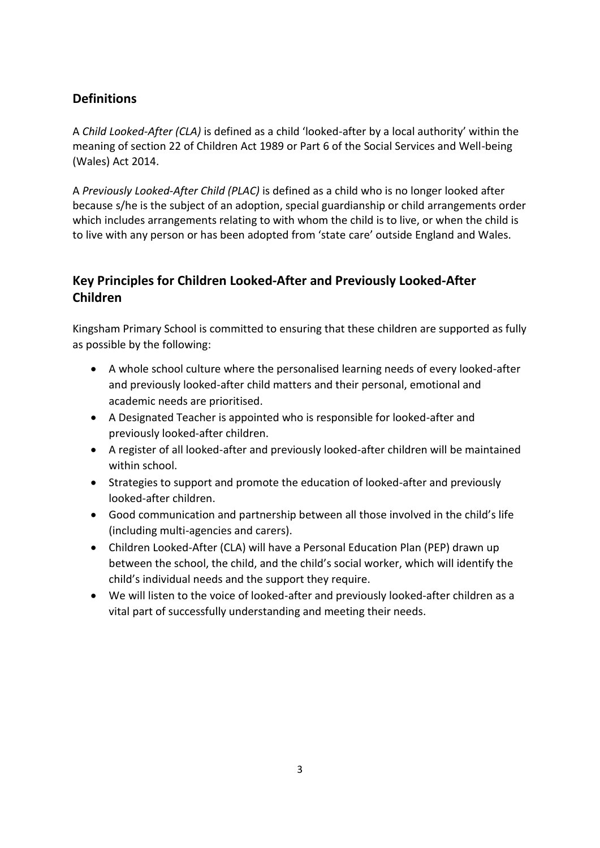# **Definitions**

A *Child Looked-After (CLA)* is defined as a child 'looked-after by a local authority' within the meaning of section 22 of Children Act 1989 or Part 6 of the Social Services and Well-being (Wales) Act 2014.

A *Previously Looked-After Child (PLAC)* is defined as a child who is no longer looked after because s/he is the subject of an adoption, special guardianship or child arrangements order which includes arrangements relating to with whom the child is to live, or when the child is to live with any person or has been adopted from 'state care' outside England and Wales.

# **Key Principles for Children Looked-After and Previously Looked-After Children**

Kingsham Primary School is committed to ensuring that these children are supported as fully as possible by the following:

- A whole school culture where the personalised learning needs of every looked-after and previously looked-after child matters and their personal, emotional and academic needs are prioritised.
- A Designated Teacher is appointed who is responsible for looked-after and previously looked-after children.
- A register of all looked-after and previously looked-after children will be maintained within school.
- Strategies to support and promote the education of looked-after and previously looked-after children.
- Good communication and partnership between all those involved in the child's life (including multi-agencies and carers).
- Children Looked-After (CLA) will have a Personal Education Plan (PEP) drawn up between the school, the child, and the child's social worker, which will identify the child's individual needs and the support they require.
- We will listen to the voice of looked-after and previously looked-after children as a vital part of successfully understanding and meeting their needs.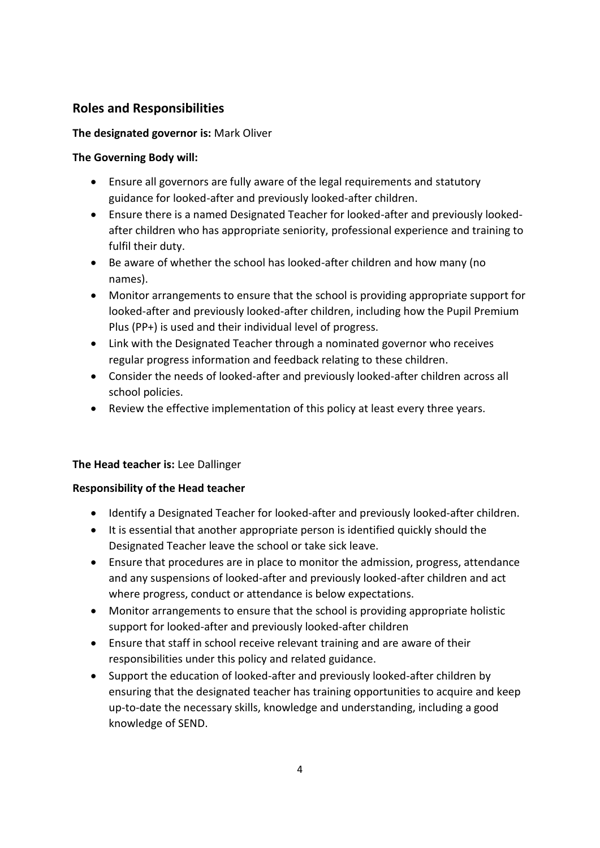## **Roles and Responsibilities**

#### **The designated governor is:** Mark Oliver

#### **The Governing Body will:**

- Ensure all governors are fully aware of the legal requirements and statutory guidance for looked-after and previously looked-after children.
- Ensure there is a named Designated Teacher for looked-after and previously lookedafter children who has appropriate seniority, professional experience and training to fulfil their duty.
- Be aware of whether the school has looked-after children and how many (no names).
- Monitor arrangements to ensure that the school is providing appropriate support for looked-after and previously looked-after children, including how the Pupil Premium Plus (PP+) is used and their individual level of progress.
- Link with the Designated Teacher through a nominated governor who receives regular progress information and feedback relating to these children.
- Consider the needs of looked-after and previously looked-after children across all school policies.
- Review the effective implementation of this policy at least every three years.

#### **The Head teacher is:** Lee Dallinger

#### **Responsibility of the Head teacher**

- Identify a Designated Teacher for looked-after and previously looked-after children.
- It is essential that another appropriate person is identified quickly should the Designated Teacher leave the school or take sick leave.
- Ensure that procedures are in place to monitor the admission, progress, attendance and any suspensions of looked-after and previously looked-after children and act where progress, conduct or attendance is below expectations.
- Monitor arrangements to ensure that the school is providing appropriate holistic support for looked-after and previously looked-after children
- Ensure that staff in school receive relevant training and are aware of their responsibilities under this policy and related guidance.
- Support the education of looked-after and previously looked-after children by ensuring that the designated teacher has training opportunities to acquire and keep up-to-date the necessary skills, knowledge and understanding, including a good knowledge of SEND.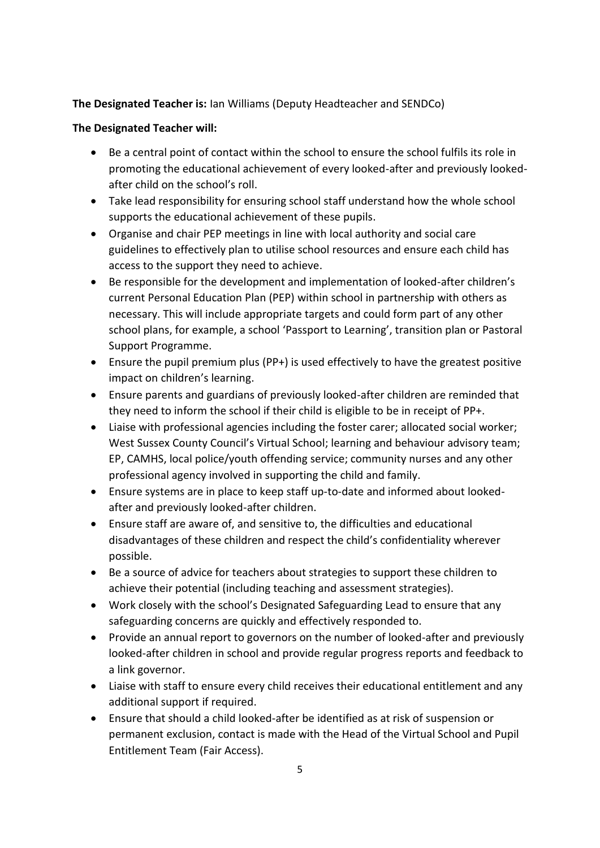#### **The Designated Teacher is:** Ian Williams (Deputy Headteacher and SENDCo)

#### **The Designated Teacher will:**

- Be a central point of contact within the school to ensure the school fulfils its role in promoting the educational achievement of every looked-after and previously lookedafter child on the school's roll.
- Take lead responsibility for ensuring school staff understand how the whole school supports the educational achievement of these pupils.
- Organise and chair PEP meetings in line with local authority and social care guidelines to effectively plan to utilise school resources and ensure each child has access to the support they need to achieve.
- Be responsible for the development and implementation of looked-after children's current Personal Education Plan (PEP) within school in partnership with others as necessary. This will include appropriate targets and could form part of any other school plans, for example, a school 'Passport to Learning', transition plan or Pastoral Support Programme.
- Ensure the pupil premium plus (PP+) is used effectively to have the greatest positive impact on children's learning.
- Ensure parents and guardians of previously looked-after children are reminded that they need to inform the school if their child is eligible to be in receipt of PP+.
- Liaise with professional agencies including the foster carer; allocated social worker; West Sussex County Council's Virtual School; learning and behaviour advisory team; EP, CAMHS, local police/youth offending service; community nurses and any other professional agency involved in supporting the child and family.
- Ensure systems are in place to keep staff up-to-date and informed about lookedafter and previously looked-after children.
- Ensure staff are aware of, and sensitive to, the difficulties and educational disadvantages of these children and respect the child's confidentiality wherever possible.
- Be a source of advice for teachers about strategies to support these children to achieve their potential (including teaching and assessment strategies).
- Work closely with the school's Designated Safeguarding Lead to ensure that any safeguarding concerns are quickly and effectively responded to.
- Provide an annual report to governors on the number of looked-after and previously looked-after children in school and provide regular progress reports and feedback to a link governor.
- Liaise with staff to ensure every child receives their educational entitlement and any additional support if required.
- Ensure that should a child looked-after be identified as at risk of suspension or permanent exclusion, contact is made with the Head of the Virtual School and Pupil Entitlement Team (Fair Access).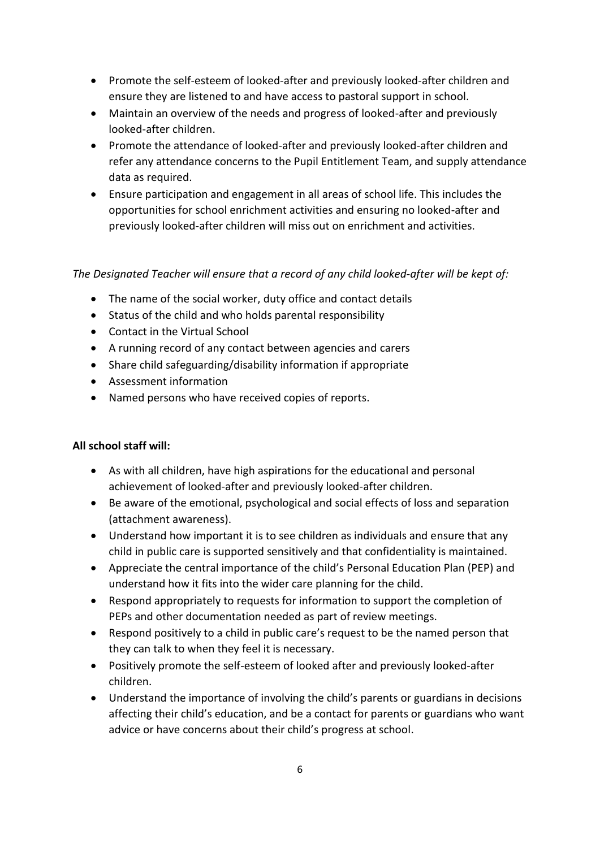- Promote the self-esteem of looked-after and previously looked-after children and ensure they are listened to and have access to pastoral support in school.
- Maintain an overview of the needs and progress of looked-after and previously looked-after children.
- Promote the attendance of looked-after and previously looked-after children and refer any attendance concerns to the Pupil Entitlement Team, and supply attendance data as required.
- Ensure participation and engagement in all areas of school life. This includes the opportunities for school enrichment activities and ensuring no looked-after and previously looked-after children will miss out on enrichment and activities.

#### *The Designated Teacher will ensure that a record of any child looked-after will be kept of:*

- The name of the social worker, duty office and contact details
- Status of the child and who holds parental responsibility
- Contact in the Virtual School
- A running record of any contact between agencies and carers
- Share child safeguarding/disability information if appropriate
- Assessment information
- Named persons who have received copies of reports.

#### **All school staff will:**

- As with all children, have high aspirations for the educational and personal achievement of looked-after and previously looked-after children.
- Be aware of the emotional, psychological and social effects of loss and separation (attachment awareness).
- Understand how important it is to see children as individuals and ensure that any child in public care is supported sensitively and that confidentiality is maintained.
- Appreciate the central importance of the child's Personal Education Plan (PEP) and understand how it fits into the wider care planning for the child.
- Respond appropriately to requests for information to support the completion of PEPs and other documentation needed as part of review meetings.
- Respond positively to a child in public care's request to be the named person that they can talk to when they feel it is necessary.
- Positively promote the self-esteem of looked after and previously looked-after children.
- Understand the importance of involving the child's parents or guardians in decisions affecting their child's education, and be a contact for parents or guardians who want advice or have concerns about their child's progress at school.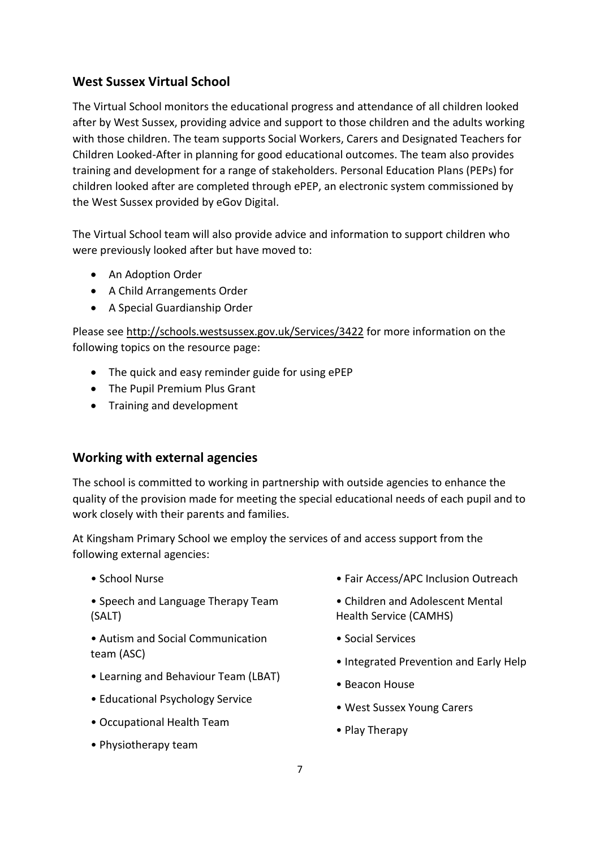## **West Sussex Virtual School**

The Virtual School monitors the educational progress and attendance of all children looked after by West Sussex, providing advice and support to those children and the adults working with those children. The team supports Social Workers, Carers and Designated Teachers for Children Looked-After in planning for good educational outcomes. The team also provides training and development for a range of stakeholders. Personal Education Plans (PEPs) for children looked after are completed through ePEP, an electronic system commissioned by the West Sussex provided by eGov Digital.

The Virtual School team will also provide advice and information to support children who were previously looked after but have moved to:

- An Adoption Order
- A Child Arrangements Order
- A Special Guardianship Order

Please see<http://schools.westsussex.gov.uk/Services/3422> for more information on the following topics on the resource page:

- The quick and easy reminder guide for using ePEP
- The Pupil Premium Plus Grant
- Training and development

## **Working with external agencies**

The school is committed to working in partnership with outside agencies to enhance the quality of the provision made for meeting the special educational needs of each pupil and to work closely with their parents and families.

At Kingsham Primary School we employ the services of and access support from the following external agencies:

- School Nurse
- Speech and Language Therapy Team (SALT)
- Autism and Social Communication team (ASC)
- Learning and Behaviour Team (LBAT)
- Educational Psychology Service
- Occupational Health Team
- Physiotherapy team
- Fair Access/APC Inclusion Outreach
- Children and Adolescent Mental Health Service (CAMHS)
- Social Services
- Integrated Prevention and Early Help
- Beacon House
- West Sussex Young Carers
- Play Therapy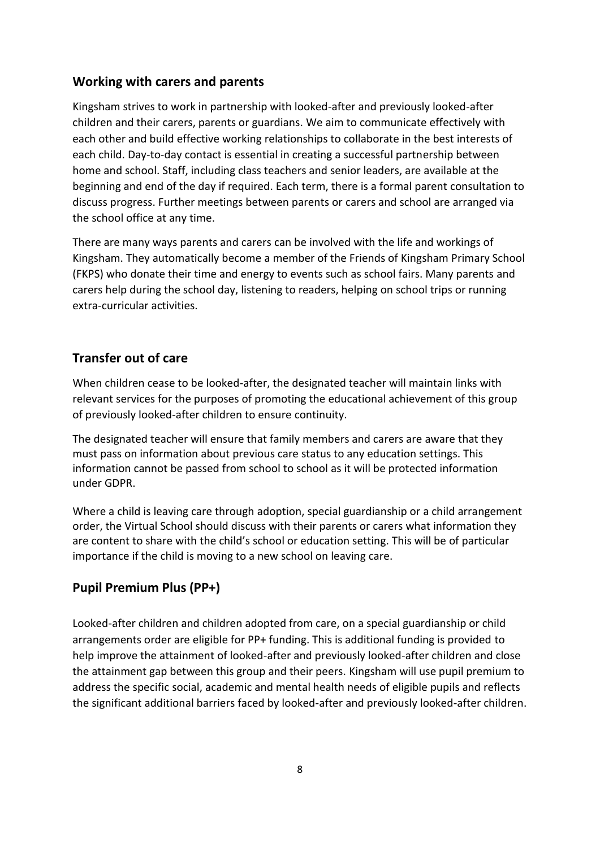### **Working with carers and parents**

Kingsham strives to work in partnership with looked-after and previously looked-after children and their carers, parents or guardians. We aim to communicate effectively with each other and build effective working relationships to collaborate in the best interests of each child. Day-to-day contact is essential in creating a successful partnership between home and school. Staff, including class teachers and senior leaders, are available at the beginning and end of the day if required. Each term, there is a formal parent consultation to discuss progress. Further meetings between parents or carers and school are arranged via the school office at any time.

There are many ways parents and carers can be involved with the life and workings of Kingsham. They automatically become a member of the Friends of Kingsham Primary School (FKPS) who donate their time and energy to events such as school fairs. Many parents and carers help during the school day, listening to readers, helping on school trips or running extra-curricular activities.

## **Transfer out of care**

When children cease to be looked-after, the designated teacher will maintain links with relevant services for the purposes of promoting the educational achievement of this group of previously looked-after children to ensure continuity.

The designated teacher will ensure that family members and carers are aware that they must pass on information about previous care status to any education settings. This information cannot be passed from school to school as it will be protected information under GDPR.

Where a child is leaving care through adoption, special guardianship or a child arrangement order, the Virtual School should discuss with their parents or carers what information they are content to share with the child's school or education setting. This will be of particular importance if the child is moving to a new school on leaving care.

## **Pupil Premium Plus (PP+)**

Looked-after children and children adopted from care, on a special guardianship or child arrangements order are eligible for PP+ funding. This is additional funding is provided to help improve the attainment of looked-after and previously looked-after children and close the attainment gap between this group and their peers. Kingsham will use pupil premium to address the specific social, academic and mental health needs of eligible pupils and reflects the significant additional barriers faced by looked-after and previously looked-after children.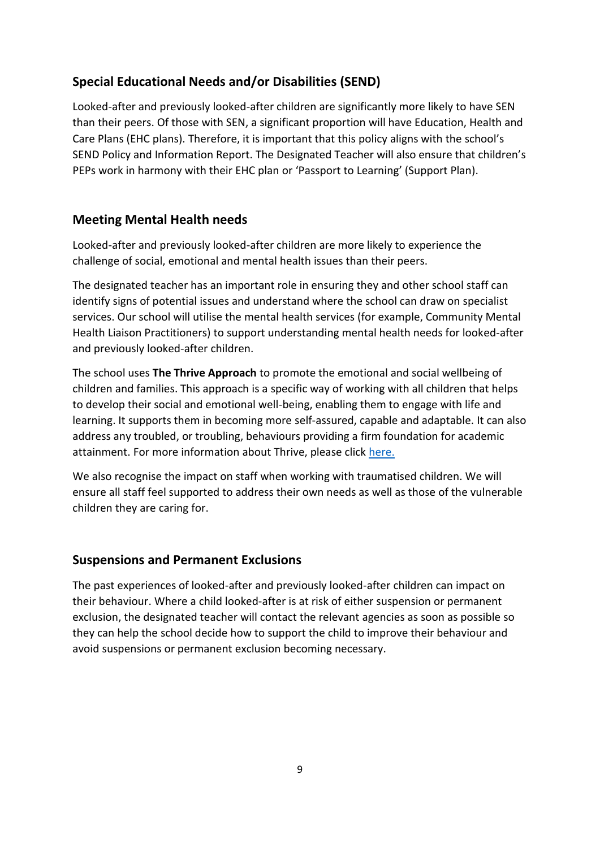# **Special Educational Needs and/or Disabilities (SEND)**

Looked-after and previously looked-after children are significantly more likely to have SEN than their peers. Of those with SEN, a significant proportion will have Education, Health and Care Plans (EHC plans). Therefore, it is important that this policy aligns with the school's SEND Policy and Information Report. The Designated Teacher will also ensure that children's PEPs work in harmony with their EHC plan or 'Passport to Learning' (Support Plan).

## **Meeting Mental Health needs**

Looked-after and previously looked-after children are more likely to experience the challenge of social, emotional and mental health issues than their peers.

The designated teacher has an important role in ensuring they and other school staff can identify signs of potential issues and understand where the school can draw on specialist services. Our school will utilise the mental health services (for example, Community Mental Health Liaison Practitioners) to support understanding mental health needs for looked-after and previously looked-after children.

The school uses **The Thrive Approach** to promote the emotional and social wellbeing of children and families. This approach is a specific way of working with all children that helps to develop their social and emotional well-being, enabling them to engage with life and learning. It supports them in becoming more self-assured, capable and adaptable. It can also address any troubled, or troubling, behaviours providing a firm foundation for academic attainment. For more information about Thrive, please click [here.](https://www.kingshamprimary.org.uk/page/?title=The+Thrive+Approach&pid=133)

We also recognise the impact on staff when working with traumatised children. We will ensure all staff feel supported to address their own needs as well as those of the vulnerable children they are caring for.

#### **Suspensions and Permanent Exclusions**

The past experiences of looked-after and previously looked-after children can impact on their behaviour. Where a child looked-after is at risk of either suspension or permanent exclusion, the designated teacher will contact the relevant agencies as soon as possible so they can help the school decide how to support the child to improve their behaviour and avoid suspensions or permanent exclusion becoming necessary.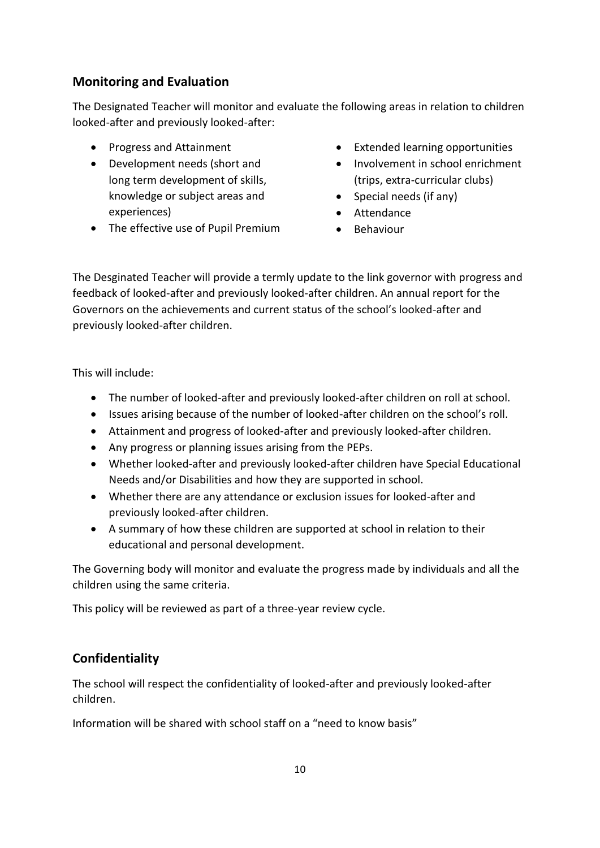## **Monitoring and Evaluation**

The Designated Teacher will monitor and evaluate the following areas in relation to children looked-after and previously looked-after:

- Progress and Attainment
- Development needs (short and long term development of skills, knowledge or subject areas and experiences)
- The effective use of Pupil Premium
- Extended learning opportunities
- Involvement in school enrichment (trips, extra-curricular clubs)
- $\bullet$  Special needs (if any)
- Attendance
- **•** Behaviour

The Desginated Teacher will provide a termly update to the link governor with progress and feedback of looked-after and previously looked-after children. An annual report for the Governors on the achievements and current status of the school's looked-after and previously looked-after children.

This will include:

- The number of looked-after and previously looked-after children on roll at school.
- Issues arising because of the number of looked-after children on the school's roll.
- Attainment and progress of looked-after and previously looked-after children.
- Any progress or planning issues arising from the PEPs.
- Whether looked-after and previously looked-after children have Special Educational Needs and/or Disabilities and how they are supported in school.
- Whether there are any attendance or exclusion issues for looked-after and previously looked-after children.
- A summary of how these children are supported at school in relation to their educational and personal development.

The Governing body will monitor and evaluate the progress made by individuals and all the children using the same criteria.

This policy will be reviewed as part of a three-year review cycle.

# **Confidentiality**

The school will respect the confidentiality of looked-after and previously looked-after children.

Information will be shared with school staff on a "need to know basis"